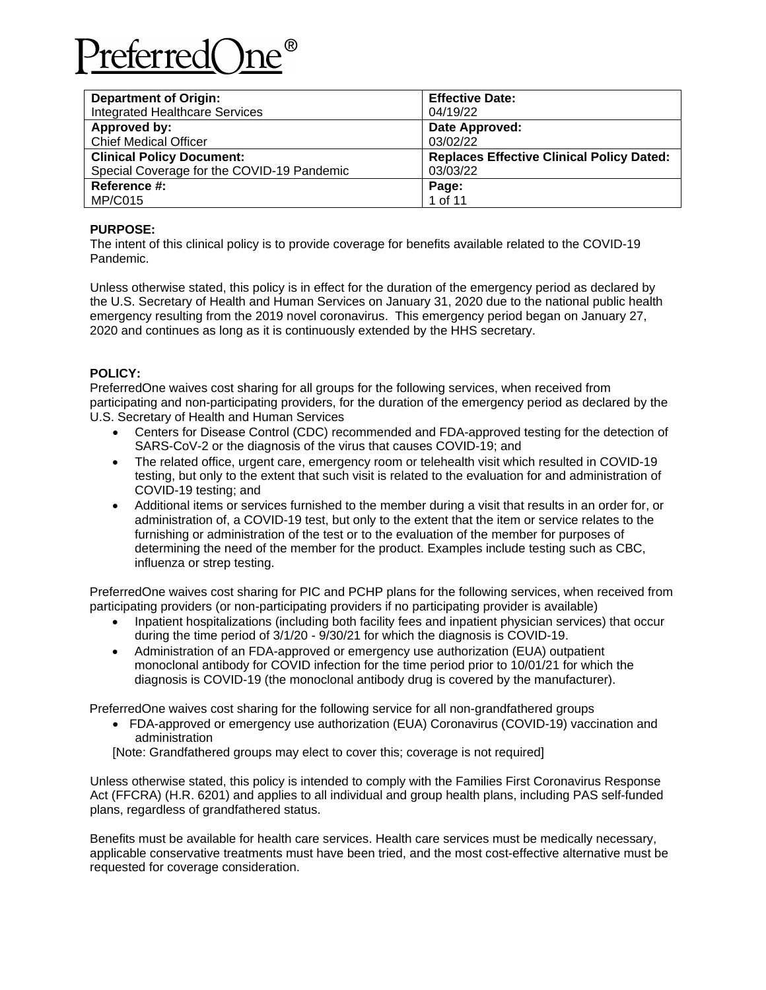# referred(

| <b>Department of Origin:</b>               | <b>Effective Date:</b>                           |
|--------------------------------------------|--------------------------------------------------|
| <b>Integrated Healthcare Services</b>      | 04/19/22                                         |
| Approved by:                               | Date Approved:                                   |
| <b>Chief Medical Officer</b>               | 03/02/22                                         |
| <b>Clinical Policy Document:</b>           | <b>Replaces Effective Clinical Policy Dated:</b> |
| Special Coverage for the COVID-19 Pandemic | 03/03/22                                         |
| Reference #:                               | Page:                                            |
| <b>MP/C015</b>                             | 1 of 11                                          |

# **PURPOSE:**

The intent of this clinical policy is to provide coverage for benefits available related to the COVID-19 Pandemic.

Unless otherwise stated, this policy is in effect for the duration of the emergency period as declared by the U.S. Secretary of Health and Human Services on January 31, 2020 due to the national public health emergency resulting from the 2019 novel coronavirus. This emergency period began on January 27, 2020 and continues as long as it is continuously extended by the HHS secretary.

## **POLICY:**

PreferredOne waives cost sharing for all groups for the following services, when received from participating and non-participating providers, for the duration of the emergency period as declared by the U.S. Secretary of Health and Human Services

- Centers for Disease Control (CDC) recommended and FDA-approved testing for the detection of SARS-CoV-2 or the diagnosis of the virus that causes COVID-19; and
- The related office, urgent care, emergency room or telehealth visit which resulted in COVID-19 testing, but only to the extent that such visit is related to the evaluation for and administration of COVID-19 testing; and
- Additional items or services furnished to the member during a visit that results in an order for, or administration of, a COVID-19 test, but only to the extent that the item or service relates to the furnishing or administration of the test or to the evaluation of the member for purposes of determining the need of the member for the product. Examples include testing such as CBC, influenza or strep testing.

PreferredOne waives cost sharing for PIC and PCHP plans for the following services, when received from participating providers (or non-participating providers if no participating provider is available)

- Inpatient hospitalizations (including both facility fees and inpatient physician services) that occur during the time period of 3/1/20 - 9/30/21 for which the diagnosis is COVID-19.
- Administration of an FDA-approved or emergency use authorization (EUA) outpatient monoclonal antibody for COVID infection for the time period prior to 10/01/21 for which the diagnosis is COVID-19 (the monoclonal antibody drug is covered by the manufacturer).

PreferredOne waives cost sharing for the following service for all non-grandfathered groups

• FDA-approved or emergency use authorization (EUA) Coronavirus (COVID-19) vaccination and administration

[Note: Grandfathered groups may elect to cover this; coverage is not required]

Unless otherwise stated, this policy is intended to comply with the Families First Coronavirus Response Act (FFCRA) (H.R. 6201) and applies to all individual and group health plans, including PAS self-funded plans, regardless of grandfathered status.

Benefits must be available for health care services. Health care services must be medically necessary, applicable conservative treatments must have been tried, and the most cost-effective alternative must be requested for coverage consideration.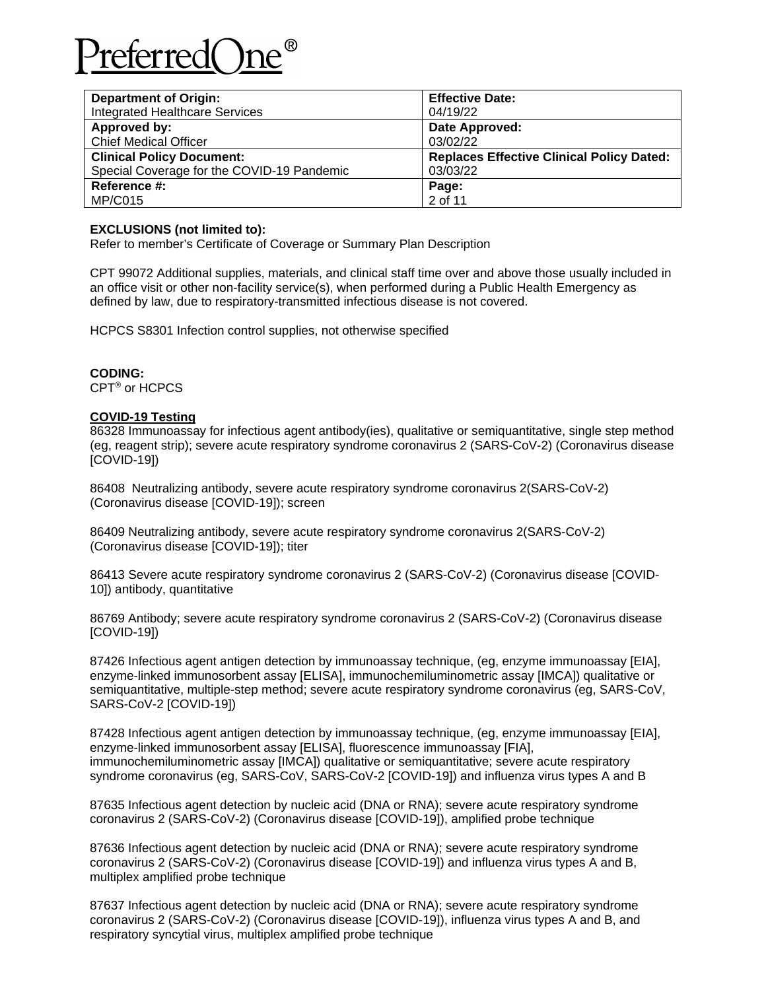

| <b>Department of Origin:</b>               | <b>Effective Date:</b>                           |
|--------------------------------------------|--------------------------------------------------|
| <b>Integrated Healthcare Services</b>      | 04/19/22                                         |
| Approved by:                               | Date Approved:                                   |
| <b>Chief Medical Officer</b>               | 03/02/22                                         |
| <b>Clinical Policy Document:</b>           | <b>Replaces Effective Clinical Policy Dated:</b> |
| Special Coverage for the COVID-19 Pandemic | 03/03/22                                         |
| Reference #:                               | Page:                                            |
| MP/C015                                    | 2 of 11                                          |

#### **EXCLUSIONS (not limited to):**

Refer to member's Certificate of Coverage or Summary Plan Description

CPT 99072 Additional supplies, materials, and clinical staff time over and above those usually included in an office visit or other non-facility service(s), when performed during a Public Health Emergency as defined by law, due to respiratory-transmitted infectious disease is not covered.

HCPCS S8301 Infection control supplies, not otherwise specified

## **CODING:**

CPT® or HCPCS

## **COVID-19 Testing**

86328 Immunoassay for infectious agent antibody(ies), qualitative or semiquantitative, single step method (eg, reagent strip); severe acute respiratory syndrome coronavirus 2 (SARS-CoV-2) (Coronavirus disease [COVID-19])

86408 Neutralizing antibody, severe acute respiratory syndrome coronavirus 2(SARS-CoV-2) (Coronavirus disease [COVID-19]); screen

86409 Neutralizing antibody, severe acute respiratory syndrome coronavirus 2(SARS-CoV-2) (Coronavirus disease [COVID-19]); titer

86413 Severe acute respiratory syndrome coronavirus 2 (SARS-CoV-2) (Coronavirus disease [COVID-10]) antibody, quantitative

86769 Antibody; severe acute respiratory syndrome coronavirus 2 (SARS-CoV-2) (Coronavirus disease [COVID-19])

87426 Infectious agent antigen detection by immunoassay technique, (eg, enzyme immunoassay [EIA], enzyme-linked immunosorbent assay [ELISA], immunochemiluminometric assay [IMCA]) qualitative or semiquantitative, multiple-step method; severe acute respiratory syndrome coronavirus (eg, SARS-CoV, SARS-CoV-2 [COVID-19])

87428 Infectious agent antigen detection by immunoassay technique, (eg, enzyme immunoassay [EIA], enzyme-linked immunosorbent assay [ELISA], fluorescence immunoassay [FIA], immunochemiluminometric assay [IMCA]) qualitative or semiquantitative; severe acute respiratory syndrome coronavirus (eg, SARS-CoV, SARS-CoV-2 [COVID-19]) and influenza virus types A and B

87635 Infectious agent detection by nucleic acid (DNA or RNA); severe acute respiratory syndrome coronavirus 2 (SARS-CoV-2) (Coronavirus disease [COVID-19]), amplified probe technique

87636 Infectious agent detection by nucleic acid (DNA or RNA); severe acute respiratory syndrome coronavirus 2 (SARS-CoV-2) (Coronavirus disease [COVID-19]) and influenza virus types A and B, multiplex amplified probe technique

87637 Infectious agent detection by nucleic acid (DNA or RNA); severe acute respiratory syndrome coronavirus 2 (SARS-CoV-2) (Coronavirus disease [COVID-19]), influenza virus types A and B, and respiratory syncytial virus, multiplex amplified probe technique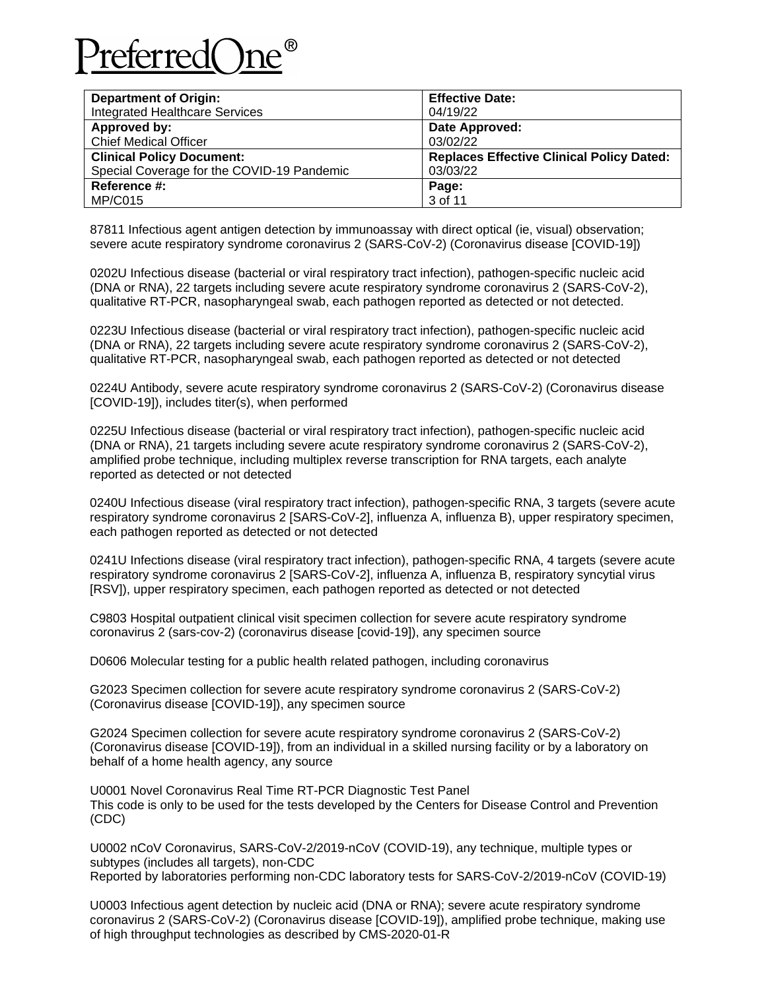

| <b>Department of Origin:</b>               | <b>Effective Date:</b>                           |
|--------------------------------------------|--------------------------------------------------|
| <b>Integrated Healthcare Services</b>      | 04/19/22                                         |
| Approved by:                               | Date Approved:                                   |
| <b>Chief Medical Officer</b>               | 03/02/22                                         |
| <b>Clinical Policy Document:</b>           | <b>Replaces Effective Clinical Policy Dated:</b> |
| Special Coverage for the COVID-19 Pandemic | 03/03/22                                         |
| Reference #:                               | Page:                                            |
| MP/C015                                    | 3 of 11                                          |

87811 Infectious agent antigen detection by immunoassay with direct optical (ie, visual) observation; severe acute respiratory syndrome coronavirus 2 (SARS-CoV-2) (Coronavirus disease [COVID-19])

0202U Infectious disease (bacterial or viral respiratory tract infection), pathogen-specific nucleic acid (DNA or RNA), 22 targets including severe acute respiratory syndrome coronavirus 2 (SARS-CoV-2), qualitative RT-PCR, nasopharyngeal swab, each pathogen reported as detected or not detected.

0223U Infectious disease (bacterial or viral respiratory tract infection), pathogen-specific nucleic acid (DNA or RNA), 22 targets including severe acute respiratory syndrome coronavirus 2 (SARS-CoV-2), qualitative RT-PCR, nasopharyngeal swab, each pathogen reported as detected or not detected

0224U Antibody, severe acute respiratory syndrome coronavirus 2 (SARS-CoV-2) (Coronavirus disease [COVID-19]), includes titer(s), when performed

0225U Infectious disease (bacterial or viral respiratory tract infection), pathogen-specific nucleic acid (DNA or RNA), 21 targets including severe acute respiratory syndrome coronavirus 2 (SARS-CoV-2), amplified probe technique, including multiplex reverse transcription for RNA targets, each analyte reported as detected or not detected

0240U Infectious disease (viral respiratory tract infection), pathogen-specific RNA, 3 targets (severe acute respiratory syndrome coronavirus 2 [SARS-CoV-2], influenza A, influenza B), upper respiratory specimen, each pathogen reported as detected or not detected

0241U Infections disease (viral respiratory tract infection), pathogen-specific RNA, 4 targets (severe acute respiratory syndrome coronavirus 2 [SARS-CoV-2], influenza A, influenza B, respiratory syncytial virus [RSV]), upper respiratory specimen, each pathogen reported as detected or not detected

C9803 Hospital outpatient clinical visit specimen collection for severe acute respiratory syndrome coronavirus 2 (sars-cov-2) (coronavirus disease [covid-19]), any specimen source

D0606 Molecular testing for a public health related pathogen, including coronavirus

G2023 Specimen collection for severe acute respiratory syndrome coronavirus 2 (SARS-CoV-2) (Coronavirus disease [COVID-19]), any specimen source

G2024 Specimen collection for severe acute respiratory syndrome coronavirus 2 (SARS-CoV-2) (Coronavirus disease [COVID-19]), from an individual in a skilled nursing facility or by a laboratory on behalf of a home health agency, any source

U0001 Novel Coronavirus Real Time RT-PCR Diagnostic Test Panel This code is only to be used for the tests developed by the Centers for Disease Control and Prevention (CDC)

U0002 nCoV Coronavirus, SARS-CoV-2/2019-nCoV (COVID-19), any technique, multiple types or subtypes (includes all targets), non-CDC Reported by laboratories performing non-CDC laboratory tests for SARS-CoV-2/2019-nCoV (COVID-19)

U0003 Infectious agent detection by nucleic acid (DNA or RNA); severe acute respiratory syndrome coronavirus 2 (SARS-CoV-2) (Coronavirus disease [COVID-19]), amplified probe technique, making use of high throughput technologies as described by CMS-2020-01-R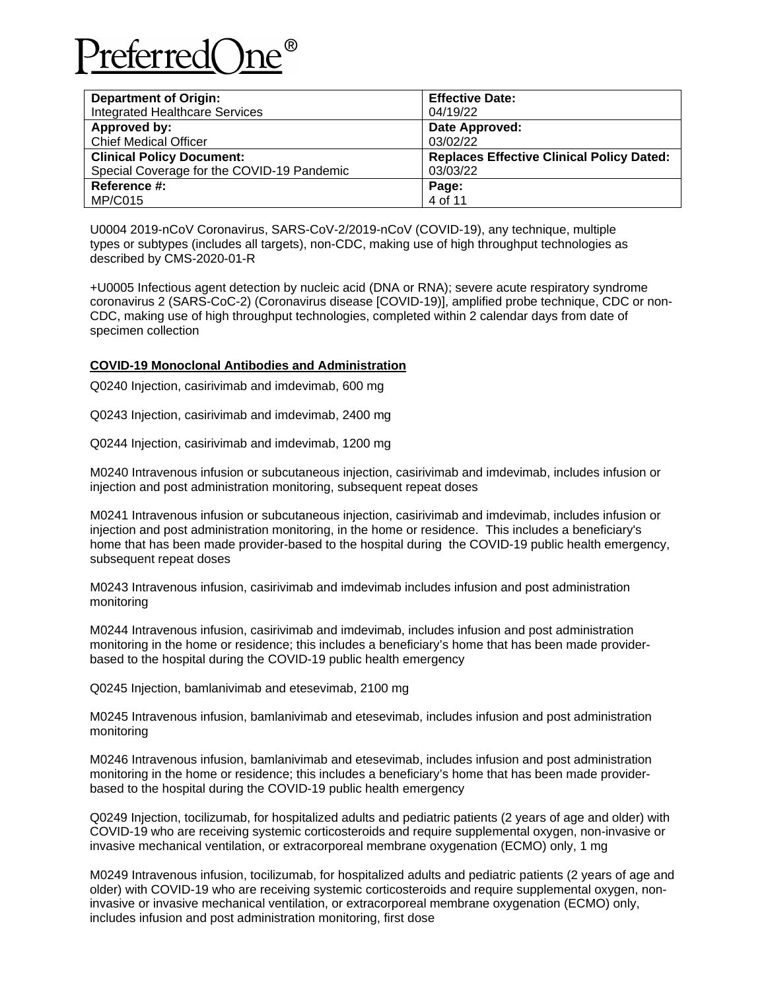

| <b>Department of Origin:</b>               | <b>Effective Date:</b>                           |
|--------------------------------------------|--------------------------------------------------|
| <b>Integrated Healthcare Services</b>      | 04/19/22                                         |
| Approved by:                               | Date Approved:                                   |
| <b>Chief Medical Officer</b>               | 03/02/22                                         |
| <b>Clinical Policy Document:</b>           | <b>Replaces Effective Clinical Policy Dated:</b> |
| Special Coverage for the COVID-19 Pandemic | 03/03/22                                         |
| Reference #:                               | Page:                                            |
| <b>MP/C015</b>                             | 4 of 11                                          |

U0004 2019-nCoV Coronavirus, SARS-CoV-2/2019-nCoV (COVID-19), any technique, multiple types or subtypes (includes all targets), non-CDC, making use of high throughput technologies as described by CMS-2020-01-R

+U0005 Infectious agent detection by nucleic acid (DNA or RNA); severe acute respiratory syndrome coronavirus 2 (SARS-CoC-2) (Coronavirus disease [COVID-19)], amplified probe technique, CDC or non-CDC, making use of high throughput technologies, completed within 2 calendar days from date of specimen collection

## **COVID-19 Monoclonal Antibodies and Administration**

Q0240 Injection, casirivimab and imdevimab, 600 mg

Q0243 Injection, casirivimab and imdevimab, 2400 mg

Q0244 Injection, casirivimab and imdevimab, 1200 mg

M0240 Intravenous infusion or subcutaneous injection, casirivimab and imdevimab, includes infusion or injection and post administration monitoring, subsequent repeat doses

M0241 Intravenous infusion or subcutaneous injection, casirivimab and imdevimab, includes infusion or injection and post administration monitoring, in the home or residence. This includes a beneficiary's home that has been made provider-based to the hospital during the COVID-19 public health emergency, subsequent repeat doses

M0243 Intravenous infusion, casirivimab and imdevimab includes infusion and post administration monitoring

M0244 Intravenous infusion, casirivimab and imdevimab, includes infusion and post administration monitoring in the home or residence; this includes a beneficiary's home that has been made providerbased to the hospital during the COVID-19 public health emergency

Q0245 Injection, bamlanivimab and etesevimab, 2100 mg

M0245 Intravenous infusion, bamlanivimab and etesevimab, includes infusion and post administration monitoring

M0246 Intravenous infusion, bamlanivimab and etesevimab, includes infusion and post administration monitoring in the home or residence; this includes a beneficiary's home that has been made providerbased to the hospital during the COVID-19 public health emergency

Q0249 Injection, tocilizumab, for hospitalized adults and pediatric patients (2 years of age and older) with COVID-19 who are receiving systemic corticosteroids and require supplemental oxygen, non-invasive or invasive mechanical ventilation, or extracorporeal membrane oxygenation (ECMO) only, 1 mg

M0249 Intravenous infusion, tocilizumab, for hospitalized adults and pediatric patients (2 years of age and older) with COVID-19 who are receiving systemic corticosteroids and require supplemental oxygen, noninvasive or invasive mechanical ventilation, or extracorporeal membrane oxygenation (ECMO) only, includes infusion and post administration monitoring, first dose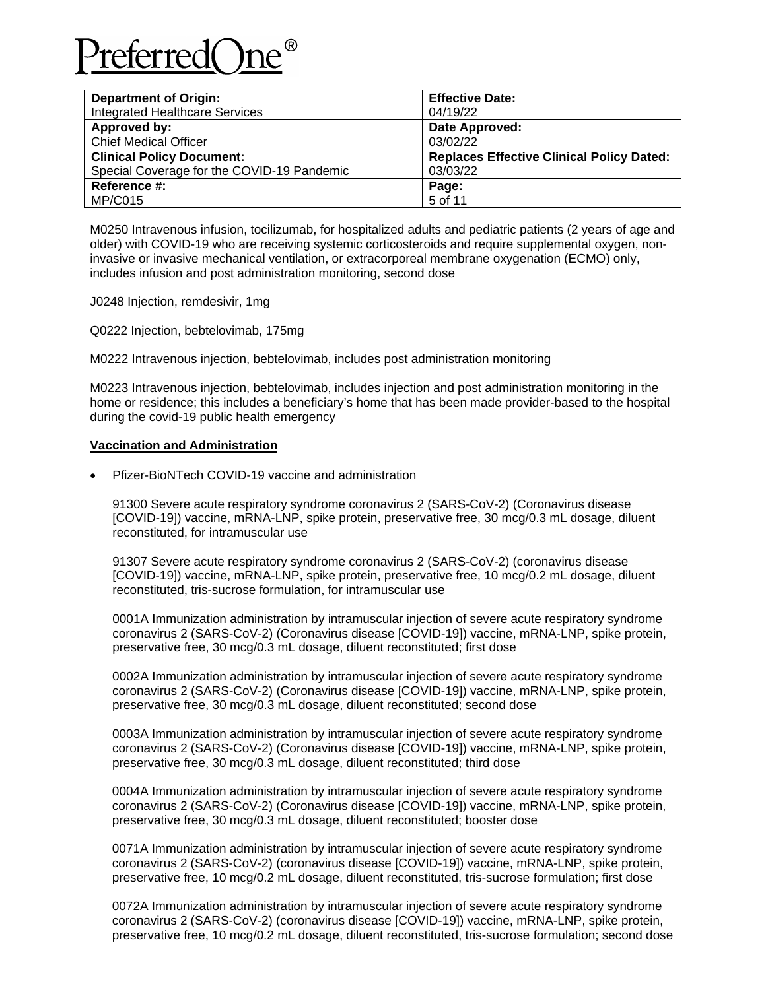

| <b>Department of Origin:</b>               | <b>Effective Date:</b>                           |
|--------------------------------------------|--------------------------------------------------|
| <b>Integrated Healthcare Services</b>      | 04/19/22                                         |
| Approved by:                               | Date Approved:                                   |
| <b>Chief Medical Officer</b>               | 03/02/22                                         |
| <b>Clinical Policy Document:</b>           | <b>Replaces Effective Clinical Policy Dated:</b> |
| Special Coverage for the COVID-19 Pandemic | 03/03/22                                         |
| Reference #:                               | Page:                                            |
| <b>MP/C015</b>                             | 5 of 11                                          |

M0250 Intravenous infusion, tocilizumab, for hospitalized adults and pediatric patients (2 years of age and older) with COVID-19 who are receiving systemic corticosteroids and require supplemental oxygen, noninvasive or invasive mechanical ventilation, or extracorporeal membrane oxygenation (ECMO) only, includes infusion and post administration monitoring, second dose

J0248 Injection, remdesivir, 1mg

Q0222 Injection, bebtelovimab, 175mg

M0222 Intravenous injection, bebtelovimab, includes post administration monitoring

M0223 Intravenous injection, bebtelovimab, includes injection and post administration monitoring in the home or residence; this includes a beneficiary's home that has been made provider-based to the hospital during the covid-19 public health emergency

#### **Vaccination and Administration**

• Pfizer-BioNTech COVID-19 vaccine and administration

91300 Severe acute respiratory syndrome coronavirus 2 (SARS-CoV-2) (Coronavirus disease [COVID-19]) vaccine, mRNA-LNP, spike protein, preservative free, 30 mcg/0.3 mL dosage, diluent reconstituted, for intramuscular use

91307 Severe acute respiratory syndrome coronavirus 2 (SARS-CoV-2) (coronavirus disease [COVID-19]) vaccine, mRNA-LNP, spike protein, preservative free, 10 mcg/0.2 mL dosage, diluent reconstituted, tris-sucrose formulation, for intramuscular use

0001A Immunization administration by intramuscular injection of severe acute respiratory syndrome coronavirus 2 (SARS-CoV-2) (Coronavirus disease [COVID-19]) vaccine, mRNA-LNP, spike protein, preservative free, 30 mcg/0.3 mL dosage, diluent reconstituted; first dose

0002A Immunization administration by intramuscular injection of severe acute respiratory syndrome coronavirus 2 (SARS-CoV-2) (Coronavirus disease [COVID-19]) vaccine, mRNA-LNP, spike protein, preservative free, 30 mcg/0.3 mL dosage, diluent reconstituted; second dose

0003A Immunization administration by intramuscular injection of severe acute respiratory syndrome coronavirus 2 (SARS-CoV-2) (Coronavirus disease [COVID-19]) vaccine, mRNA-LNP, spike protein, preservative free, 30 mcg/0.3 mL dosage, diluent reconstituted; third dose

0004A Immunization administration by intramuscular injection of severe acute respiratory syndrome coronavirus 2 (SARS-CoV-2) (Coronavirus disease [COVID-19]) vaccine, mRNA-LNP, spike protein, preservative free, 30 mcg/0.3 mL dosage, diluent reconstituted; booster dose

0071A Immunization administration by intramuscular injection of severe acute respiratory syndrome coronavirus 2 (SARS-CoV-2) (coronavirus disease [COVID-19]) vaccine, mRNA-LNP, spike protein, preservative free, 10 mcg/0.2 mL dosage, diluent reconstituted, tris-sucrose formulation; first dose

0072A Immunization administration by intramuscular injection of severe acute respiratory syndrome coronavirus 2 (SARS-CoV-2) (coronavirus disease [COVID-19]) vaccine, mRNA-LNP, spike protein, preservative free, 10 mcg/0.2 mL dosage, diluent reconstituted, tris-sucrose formulation; second dose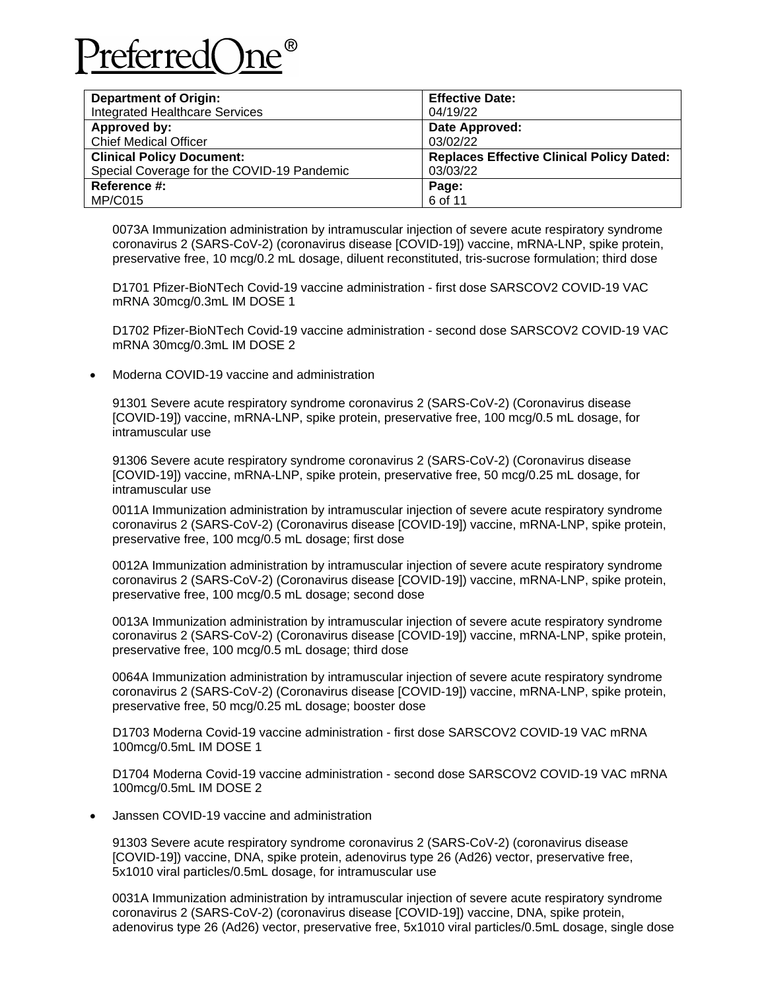

| <b>Department of Origin:</b>               | <b>Effective Date:</b>                           |
|--------------------------------------------|--------------------------------------------------|
| <b>Integrated Healthcare Services</b>      | 04/19/22                                         |
| Approved by:                               | Date Approved:                                   |
| <b>Chief Medical Officer</b>               | 03/02/22                                         |
| <b>Clinical Policy Document:</b>           | <b>Replaces Effective Clinical Policy Dated:</b> |
| Special Coverage for the COVID-19 Pandemic | 03/03/22                                         |
| Reference #:                               | Page:                                            |
| MP/C015                                    | 6 of 11                                          |

0073A Immunization administration by intramuscular injection of severe acute respiratory syndrome coronavirus 2 (SARS-CoV-2) (coronavirus disease [COVID-19]) vaccine, mRNA-LNP, spike protein, preservative free, 10 mcg/0.2 mL dosage, diluent reconstituted, tris-sucrose formulation; third dose

D1701 Pfizer-BioNTech Covid-19 vaccine administration - first dose SARSCOV2 COVID-19 VAC mRNA 30mcg/0.3mL IM DOSE 1

D1702 Pfizer-BioNTech Covid-19 vaccine administration - second dose SARSCOV2 COVID-19 VAC mRNA 30mcg/0.3mL IM DOSE 2

• Moderna COVID-19 vaccine and administration

91301 Severe acute respiratory syndrome coronavirus 2 (SARS-CoV-2) (Coronavirus disease [COVID-19]) vaccine, mRNA-LNP, spike protein, preservative free, 100 mcg/0.5 mL dosage, for intramuscular use

91306 Severe acute respiratory syndrome coronavirus 2 (SARS-CoV-2) (Coronavirus disease [COVID-19]) vaccine, mRNA-LNP, spike protein, preservative free, 50 mcg/0.25 mL dosage, for intramuscular use

0011A Immunization administration by intramuscular injection of severe acute respiratory syndrome coronavirus 2 (SARS-CoV-2) (Coronavirus disease [COVID-19]) vaccine, mRNA-LNP, spike protein, preservative free, 100 mcg/0.5 mL dosage; first dose

0012A Immunization administration by intramuscular injection of severe acute respiratory syndrome coronavirus 2 (SARS-CoV-2) (Coronavirus disease [COVID-19]) vaccine, mRNA-LNP, spike protein, preservative free, 100 mcg/0.5 mL dosage; second dose

0013A Immunization administration by intramuscular injection of severe acute respiratory syndrome coronavirus 2 (SARS-CoV-2) (Coronavirus disease [COVID-19]) vaccine, mRNA-LNP, spike protein, preservative free, 100 mcg/0.5 mL dosage; third dose

0064A Immunization administration by intramuscular injection of severe acute respiratory syndrome coronavirus 2 (SARS-CoV-2) (Coronavirus disease [COVID-19]) vaccine, mRNA-LNP, spike protein, preservative free, 50 mcg/0.25 mL dosage; booster dose

D1703 Moderna Covid-19 vaccine administration - first dose SARSCOV2 COVID-19 VAC mRNA 100mcg/0.5mL IM DOSE 1

D1704 Moderna Covid-19 vaccine administration - second dose SARSCOV2 COVID-19 VAC mRNA 100mcg/0.5mL IM DOSE 2

• Janssen COVID-19 vaccine and administration

91303 Severe acute respiratory syndrome coronavirus 2 (SARS-CoV-2) (coronavirus disease [COVID-19]) vaccine, DNA, spike protein, adenovirus type 26 (Ad26) vector, preservative free, 5x1010 viral particles/0.5mL dosage, for intramuscular use

0031A Immunization administration by intramuscular injection of severe acute respiratory syndrome coronavirus 2 (SARS-CoV-2) (coronavirus disease [COVID-19]) vaccine, DNA, spike protein, adenovirus type 26 (Ad26) vector, preservative free, 5x1010 viral particles/0.5mL dosage, single dose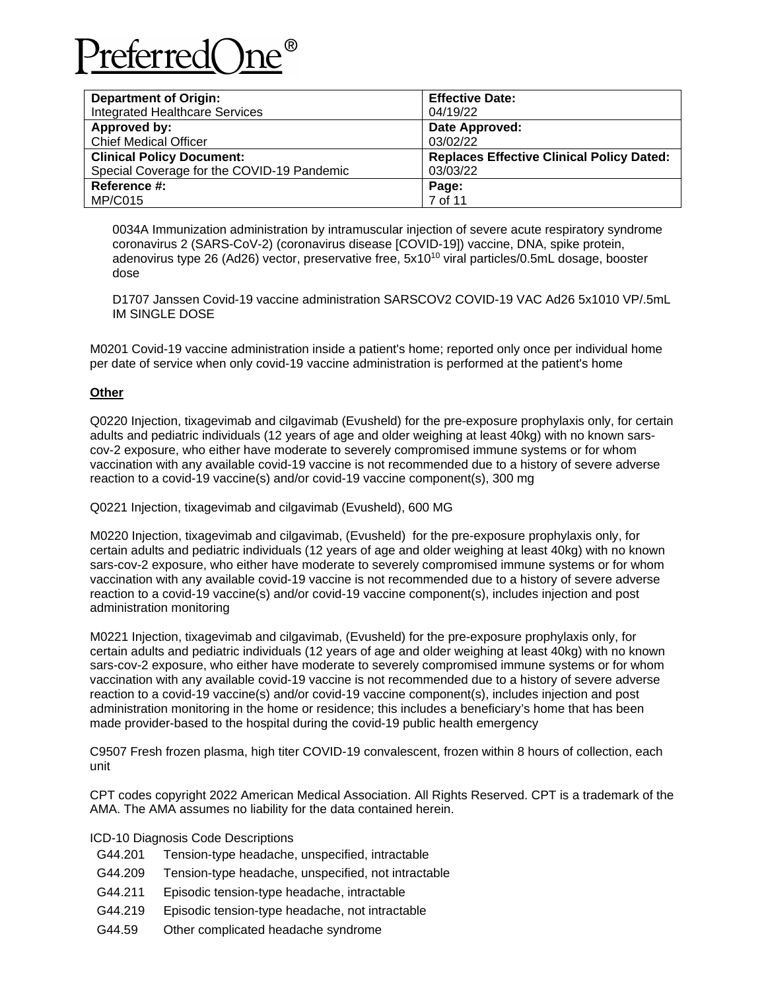

| <b>Department of Origin:</b>               | <b>Effective Date:</b>                           |
|--------------------------------------------|--------------------------------------------------|
| <b>Integrated Healthcare Services</b>      | 04/19/22                                         |
| Approved by:                               | Date Approved:                                   |
| <b>Chief Medical Officer</b>               | 03/02/22                                         |
| <b>Clinical Policy Document:</b>           | <b>Replaces Effective Clinical Policy Dated:</b> |
| Special Coverage for the COVID-19 Pandemic | 03/03/22                                         |
| Reference #:                               | Page:                                            |
| <b>MP/C015</b>                             | 7 of 11                                          |

0034A Immunization administration by intramuscular injection of severe acute respiratory syndrome coronavirus 2 (SARS-CoV-2) (coronavirus disease [COVID-19]) vaccine, DNA, spike protein, adenovirus type 26 (Ad26) vector, preservative free, 5x10<sup>10</sup> viral particles/0.5mL dosage, booster dose

D1707 Janssen Covid-19 vaccine administration SARSCOV2 COVID-19 VAC Ad26 5x1010 VP/.5mL IM SINGLE DOSE

M0201 Covid-19 vaccine administration inside a patient's home; reported only once per individual home per date of service when only covid-19 vaccine administration is performed at the patient's home

## **Other**

Q0220 Injection, tixagevimab and cilgavimab (Evusheld) for the pre-exposure prophylaxis only, for certain adults and pediatric individuals (12 years of age and older weighing at least 40kg) with no known sarscov-2 exposure, who either have moderate to severely compromised immune systems or for whom vaccination with any available covid-19 vaccine is not recommended due to a history of severe adverse reaction to a covid-19 vaccine(s) and/or covid-19 vaccine component(s), 300 mg

Q0221 Injection, tixagevimab and cilgavimab (Evusheld), 600 MG

M0220 Injection, tixagevimab and cilgavimab, (Evusheld) for the pre-exposure prophylaxis only, for certain adults and pediatric individuals (12 years of age and older weighing at least 40kg) with no known sars-cov-2 exposure, who either have moderate to severely compromised immune systems or for whom vaccination with any available covid-19 vaccine is not recommended due to a history of severe adverse reaction to a covid-19 vaccine(s) and/or covid-19 vaccine component(s), includes injection and post administration monitoring

M0221 Injection, tixagevimab and cilgavimab, (Evusheld) for the pre-exposure prophylaxis only, for certain adults and pediatric individuals (12 years of age and older weighing at least 40kg) with no known sars-cov-2 exposure, who either have moderate to severely compromised immune systems or for whom vaccination with any available covid-19 vaccine is not recommended due to a history of severe adverse reaction to a covid-19 vaccine(s) and/or covid-19 vaccine component(s), includes injection and post administration monitoring in the home or residence; this includes a beneficiary's home that has been made provider-based to the hospital during the covid-19 public health emergency

C9507 Fresh frozen plasma, high titer COVID-19 convalescent, frozen within 8 hours of collection, each unit

CPT codes copyright 2022 American Medical Association. All Rights Reserved. CPT is a trademark of the AMA. The AMA assumes no liability for the data contained herein.

ICD-10 Diagnosis Code Descriptions

- G44.201 Tension-type headache, unspecified, intractable
- G44.209 Tension-type headache, unspecified, not intractable
- G44.211 Episodic tension-type headache, intractable
- G44.219 Episodic tension-type headache, not intractable
- G44.59 Other complicated headache syndrome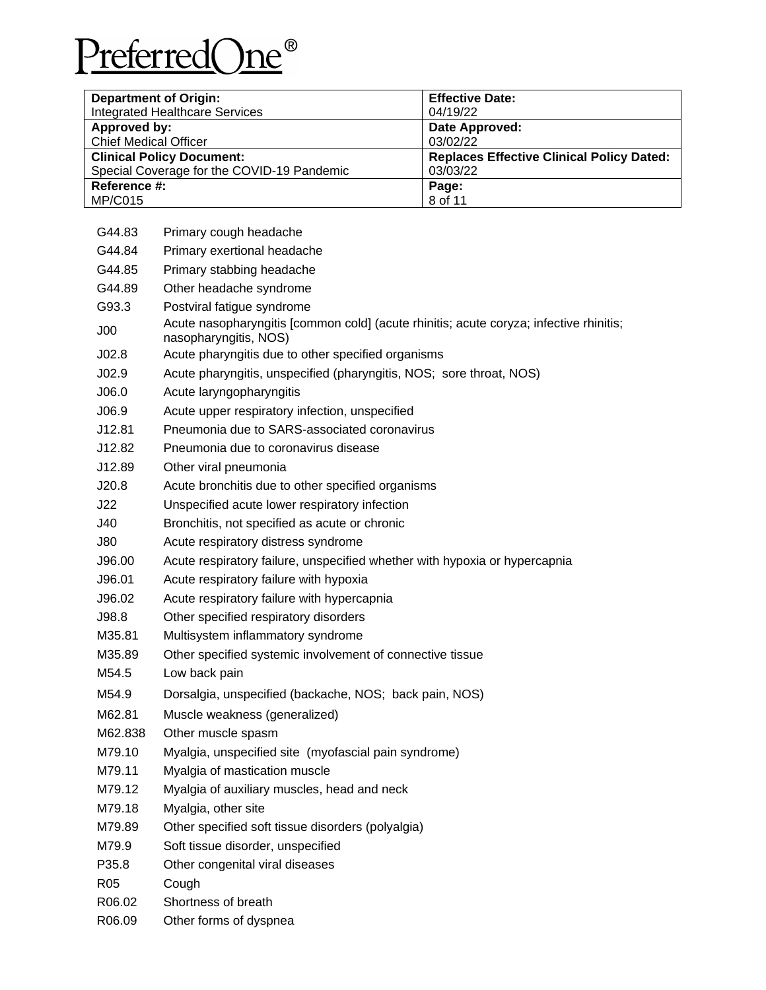

| <b>Department of Origin:</b>               | <b>Effective Date:</b>                           |
|--------------------------------------------|--------------------------------------------------|
| <b>Integrated Healthcare Services</b>      | 04/19/22                                         |
| Approved by:                               | Date Approved:                                   |
| <b>Chief Medical Officer</b>               | 03/02/22                                         |
| <b>Clinical Policy Document:</b>           | <b>Replaces Effective Clinical Policy Dated:</b> |
| Special Coverage for the COVID-19 Pandemic | 03/03/22                                         |
| Reference #:                               | Page:                                            |
| <b>MP/C015</b>                             | 8 of 11                                          |

| G44.83          | Primary cough headache                                                                                          |
|-----------------|-----------------------------------------------------------------------------------------------------------------|
| G44.84          | Primary exertional headache                                                                                     |
| G44.85          | Primary stabbing headache                                                                                       |
| G44.89          | Other headache syndrome                                                                                         |
| G93.3           | Postviral fatigue syndrome                                                                                      |
| J <sub>00</sub> | Acute nasopharyngitis [common cold] (acute rhinitis; acute coryza; infective rhinitis;<br>nasopharyngitis, NOS) |
| JO2.8           | Acute pharyngitis due to other specified organisms                                                              |
| JO2.9           | Acute pharyngitis, unspecified (pharyngitis, NOS; sore throat, NOS)                                             |
| J06.0           | Acute laryngopharyngitis                                                                                        |
| J06.9           | Acute upper respiratory infection, unspecified                                                                  |
| J12.81          | Pneumonia due to SARS-associated coronavirus                                                                    |
| J12.82          | Pneumonia due to coronavirus disease                                                                            |
| J12.89          | Other viral pneumonia                                                                                           |
| J20.8           | Acute bronchitis due to other specified organisms                                                               |
| J22             | Unspecified acute lower respiratory infection                                                                   |
| J40             | Bronchitis, not specified as acute or chronic                                                                   |
| J80             | Acute respiratory distress syndrome                                                                             |
| J96.00          | Acute respiratory failure, unspecified whether with hypoxia or hypercapnia                                      |
| J96.01          | Acute respiratory failure with hypoxia                                                                          |
| J96.02          | Acute respiratory failure with hypercapnia                                                                      |
| J98.8           | Other specified respiratory disorders                                                                           |
| M35.81          | Multisystem inflammatory syndrome                                                                               |
| M35.89          | Other specified systemic involvement of connective tissue                                                       |
| M54.5           | Low back pain                                                                                                   |
| M54.9           | Dorsalgia, unspecified (backache, NOS; back pain, NOS)                                                          |
| M62.81          | Muscle weakness (generalized)                                                                                   |
| M62.838         | Other muscle spasm                                                                                              |
| M79.10          | Myalgia, unspecified site (myofascial pain syndrome)                                                            |
| M79.11          | Myalgia of mastication muscle                                                                                   |
| M79.12          | Myalgia of auxiliary muscles, head and neck                                                                     |
| M79.18          | Myalgia, other site                                                                                             |
| M79.89          | Other specified soft tissue disorders (polyalgia)                                                               |
| M79.9           | Soft tissue disorder, unspecified                                                                               |
| P35.8           | Other congenital viral diseases                                                                                 |
| R05             | Cough                                                                                                           |
| R06.02          | Shortness of breath                                                                                             |
| R06.09          | Other forms of dyspnea                                                                                          |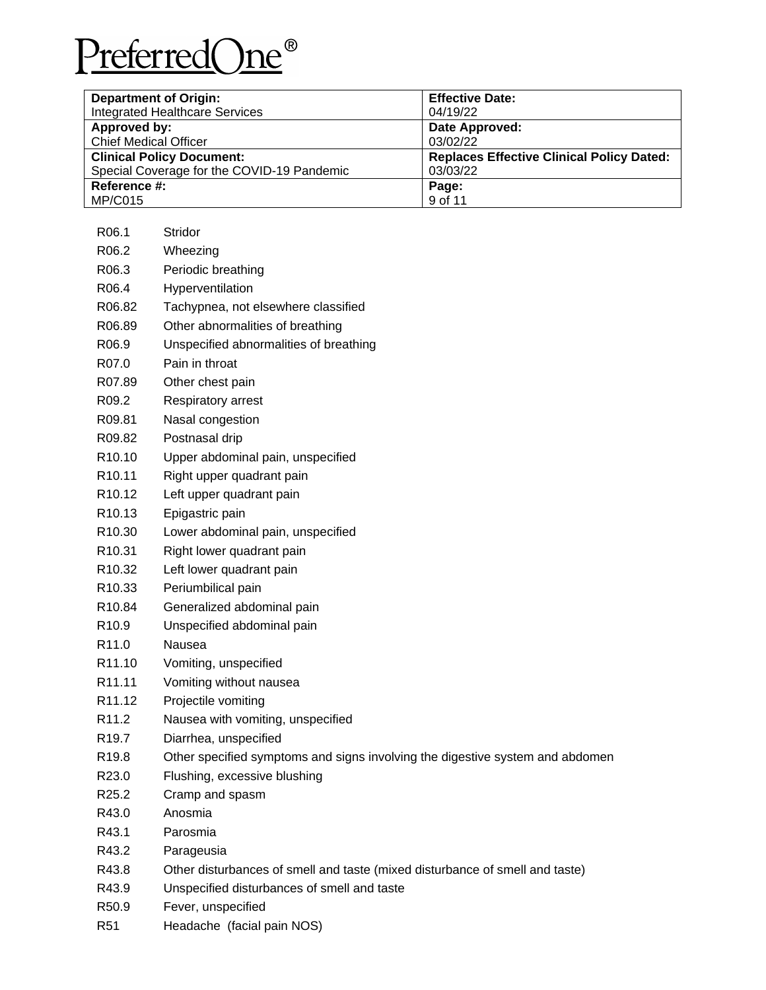

| <b>Department of Origin:</b>               | <b>Effective Date:</b>                           |
|--------------------------------------------|--------------------------------------------------|
| <b>Integrated Healthcare Services</b>      | 04/19/22                                         |
| Approved by:                               | Date Approved:                                   |
| <b>Chief Medical Officer</b>               | 03/02/22                                         |
| <b>Clinical Policy Document:</b>           | <b>Replaces Effective Clinical Policy Dated:</b> |
| Special Coverage for the COVID-19 Pandemic | 03/03/22                                         |
| Reference #:                               | Page:                                            |
| <b>MP/C015</b>                             | 9 of 11                                          |

| R <sub>06.1</sub>  | Stridor                                                                       |
|--------------------|-------------------------------------------------------------------------------|
| R06.2              | Wheezing                                                                      |
| R06.3              | Periodic breathing                                                            |
| R06.4              | Hyperventilation                                                              |
| R06.82             | Tachypnea, not elsewhere classified                                           |
| R <sub>06.89</sub> | Other abnormalities of breathing                                              |
| R06.9              | Unspecified abnormalities of breathing                                        |
| R07.0              | Pain in throat                                                                |
| R07.89             | Other chest pain                                                              |
| R09.2              | Respiratory arrest                                                            |
| R09.81             | Nasal congestion                                                              |
| R09.82             | Postnasal drip                                                                |
| R <sub>10.10</sub> | Upper abdominal pain, unspecified                                             |
| R <sub>10.11</sub> | Right upper quadrant pain                                                     |
| R <sub>10.12</sub> | Left upper quadrant pain                                                      |
| R <sub>10.13</sub> | Epigastric pain                                                               |
| R <sub>10.30</sub> | Lower abdominal pain, unspecified                                             |
| R <sub>10.31</sub> | Right lower quadrant pain                                                     |
| R <sub>10.32</sub> | Left lower quadrant pain                                                      |
| R <sub>10.33</sub> | Periumbilical pain                                                            |
| R <sub>10.84</sub> | Generalized abdominal pain                                                    |
| R <sub>10.9</sub>  | Unspecified abdominal pain                                                    |
| R <sub>11.0</sub>  | Nausea                                                                        |
| R <sub>11.10</sub> | Vomiting, unspecified                                                         |
| R <sub>11.11</sub> | Vomiting without nausea                                                       |
| R <sub>11.12</sub> | Projectile vomiting                                                           |
| R <sub>11.2</sub>  | Nausea with vomiting, unspecified                                             |
| R <sub>19.7</sub>  | Diarrhea, unspecified                                                         |
| R <sub>19.8</sub>  | Other specified symptoms and signs involving the digestive system and abdomen |
| R <sub>23.0</sub>  | Flushing, excessive blushing                                                  |
| R <sub>25.2</sub>  | Cramp and spasm                                                               |
| R43.0              | Anosmia                                                                       |
| R43.1              | Parosmia                                                                      |
| R43.2              | Parageusia                                                                    |
| R43.8              | Other disturbances of smell and taste (mixed disturbance of smell and taste)  |
| R43.9              | Unspecified disturbances of smell and taste                                   |
| R50.9              | Fever, unspecified                                                            |
| R <sub>51</sub>    | Headache (facial pain NOS)                                                    |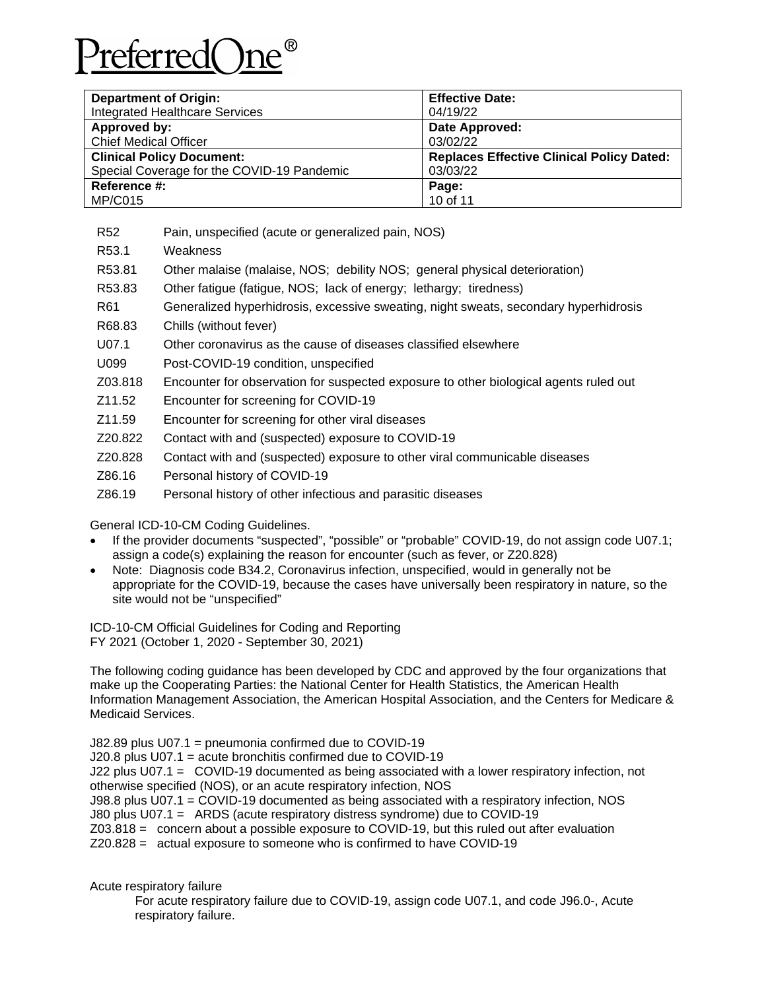# referred()r

| <b>Department of Origin:</b>               | <b>Effective Date:</b>                           |
|--------------------------------------------|--------------------------------------------------|
| <b>Integrated Healthcare Services</b>      | 04/19/22                                         |
| Approved by:                               | Date Approved:                                   |
| <b>Chief Medical Officer</b>               | 03/02/22                                         |
| <b>Clinical Policy Document:</b>           | <b>Replaces Effective Clinical Policy Dated:</b> |
| Special Coverage for the COVID-19 Pandemic | 03/03/22                                         |
| Reference #:                               | Page:                                            |
| <b>MP/C015</b>                             | 10 of 11                                         |

R52 Pain, unspecified (acute or generalized pain, NOS)

- R53.1 Weakness
- R53.81 Other malaise (malaise, NOS; debility NOS; general physical deterioration)
- R53.83 Other fatigue (fatigue, NOS; lack of energy; lethargy; tiredness)
- R61 Generalized hyperhidrosis, excessive sweating, night sweats, secondary hyperhidrosis
- R68.83 Chills (without fever)
- U07.1 Other coronavirus as the cause of diseases classified elsewhere
- U099 Post-COVID-19 condition, unspecified
- Z03.818 Encounter for observation for suspected exposure to other biological agents ruled out
- Z11.52 Encounter for screening for COVID-19
- Z11.59 Encounter for screening for other viral diseases
- Z20.822 Contact with and (suspected) exposure to COVID-19
- Z20.828 Contact with and (suspected) exposure to other viral communicable diseases
- Z86.16 Personal history of COVID-19
- Z86.19 Personal history of other infectious and parasitic diseases

General ICD-10-CM Coding Guidelines.

- If the provider documents "suspected", "possible" or "probable" COVID-19, do not assign code U07.1; assign a code(s) explaining the reason for encounter (such as fever, or Z20.828)
- Note: Diagnosis code B34.2, Coronavirus infection, unspecified, would in generally not be appropriate for the COVID-19, because the cases have universally been respiratory in nature, so the site would not be "unspecified"

ICD-10-CM Official Guidelines for Coding and Reporting FY 2021 (October 1, 2020 - September 30, 2021)

The following coding guidance has been developed by CDC and approved by the four organizations that make up the Cooperating Parties: the National Center for Health Statistics, the American Health Information Management Association, the American Hospital Association, and the Centers for Medicare & Medicaid Services.

J82.89 plus U07.1 = pneumonia confirmed due to COVID-19 J20.8 plus U07.1 = acute bronchitis confirmed due to COVID-19 J22 plus U07.1 = COVID-19 documented as being associated with a lower respiratory infection, not otherwise specified (NOS), or an acute respiratory infection, NOS J98.8 plus U07.1 = COVID-19 documented as being associated with a respiratory infection, NOS J80 plus U07.1 = ARDS (acute respiratory distress syndrome) due to COVID-19 Z03.818 = concern about a possible exposure to COVID-19, but this ruled out after evaluation Z20.828 = actual exposure to someone who is confirmed to have COVID-19

Acute respiratory failure

 For acute respiratory failure due to COVID-19, assign code U07.1, and code J96.0-, Acute respiratory failure.